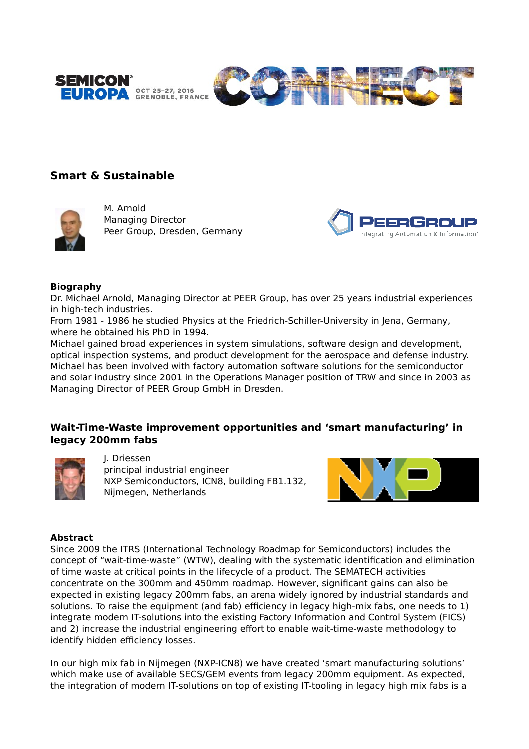



# **Smart & Sustainable**



M. Arnold Managing Director Peer Group, Dresden, Germany



#### **Biography**

Dr. Michael Arnold, Managing Director at PEER Group, has over 25 years industrial experiences in high-tech industries.

From 1981 - 1986 he studied Physics at the Friedrich-Schiller-University in Jena, Germany, where he obtained his PhD in 1994.

Michael gained broad experiences in system simulations, software design and development, optical inspection systems, and product development for the aerospace and defense industry. Michael has been involved with factory automation software solutions for the semiconductor and solar industry since 2001 in the Operations Manager position of TRW and since in 2003 as Managing Director of PEER Group GmbH in Dresden.

# **Wait-Time-Waste improvement opportunities and 'smart manufacturing' in legacy 200mm fabs**



J. Driessen principal industrial engineer NXP Semiconductors, ICN8, building FB1.132, Nijmegen, Netherlands



#### **Abstract**

Since 2009 the ITRS (International Technology Roadmap for Semiconductors) includes the concept of "wait-time-waste" (WTW), dealing with the systematic identification and elimination of time waste at critical points in the lifecycle of a product. The SEMATECH activities concentrate on the 300mm and 450mm roadmap. However, significant gains can also be expected in existing legacy 200mm fabs, an arena widely ignored by industrial standards and solutions. To raise the equipment (and fab) efficiency in legacy high-mix fabs, one needs to 1) integrate modern IT-solutions into the existing Factory Information and Control System (FICS) and 2) increase the industrial engineering effort to enable wait-time-waste methodology to identify hidden efficiency losses.

In our high mix fab in Nijmegen (NXP-ICN8) we have created 'smart manufacturing solutions' which make use of available SECS/GEM events from legacy 200mm equipment. As expected, the integration of modern IT-solutions on top of existing IT-tooling in legacy high mix fabs is a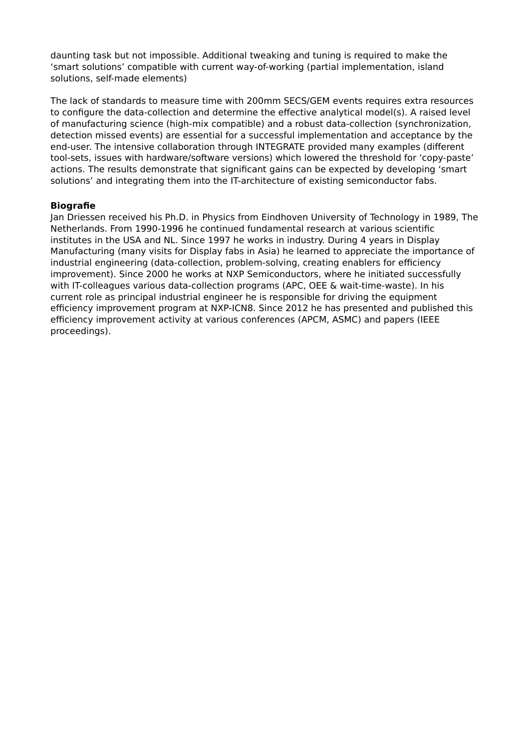daunting task but not impossible. Additional tweaking and tuning is required to make the 'smart solutions' compatible with current way-of-working (partial implementation, island solutions, self-made elements)

The lack of standards to measure time with 200mm SECS/GEM events requires extra resources to configure the data-collection and determine the effective analytical model(s). A raised level of manufacturing science (high-mix compatible) and a robust data-collection (synchronization, detection missed events) are essential for a successful implementation and acceptance by the end-user. The intensive collaboration through INTEGRATE provided many examples (different tool-sets, issues with hardware/software versions) which lowered the threshold for 'copy-paste' actions. The results demonstrate that significant gains can be expected by developing 'smart solutions' and integrating them into the IT-architecture of existing semiconductor fabs.

### **Biografie**

Jan Driessen received his Ph.D. in Physics from Eindhoven University of Technology in 1989, The Netherlands. From 1990-1996 he continued fundamental research at various scientific institutes in the USA and NL. Since 1997 he works in industry. During 4 years in Display Manufacturing (many visits for Display fabs in Asia) he learned to appreciate the importance of industrial engineering (data-collection, problem-solving, creating enablers for efficiency improvement). Since 2000 he works at NXP Semiconductors, where he initiated successfully with IT-colleagues various data-collection programs (APC, OEE & wait-time-waste). In his current role as principal industrial engineer he is responsible for driving the equipment efficiency improvement program at NXP-ICN8. Since 2012 he has presented and published this efficiency improvement activity at various conferences (APCM, ASMC) and papers (IEEE proceedings).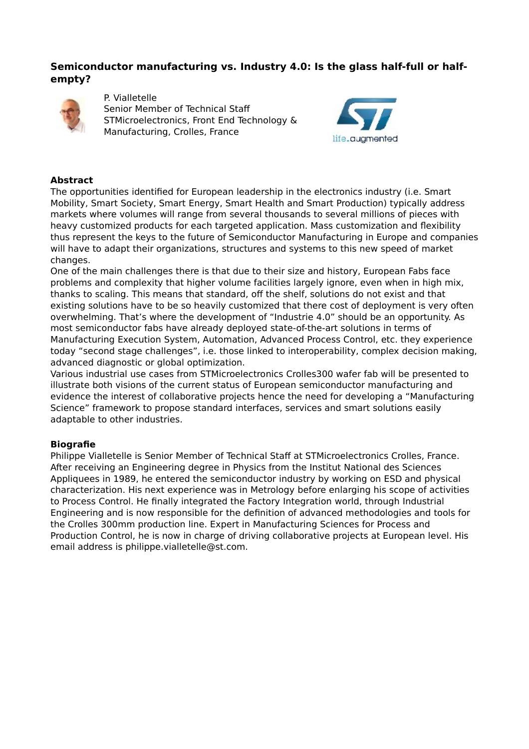# **Semiconductor manufacturing vs. Industry 4.0: Is the glass half-full or halfempty?**



P. Vialletelle Senior Member of Technical Staff STMicroelectronics, Front End Technology & Manufacturing, Crolles, France



### **Abstract**

The opportunities identified for European leadership in the electronics industry (i.e. Smart Mobility, Smart Society, Smart Energy, Smart Health and Smart Production) typically address markets where volumes will range from several thousands to several millions of pieces with heavy customized products for each targeted application. Mass customization and flexibility thus represent the keys to the future of Semiconductor Manufacturing in Europe and companies will have to adapt their organizations, structures and systems to this new speed of market changes.

One of the main challenges there is that due to their size and history, European Fabs face problems and complexity that higher volume facilities largely ignore, even when in high mix, thanks to scaling. This means that standard, off the shelf, solutions do not exist and that existing solutions have to be so heavily customized that there cost of deployment is very often overwhelming. That's where the development of "Industrie 4.0" should be an opportunity. As most semiconductor fabs have already deployed state-of-the-art solutions in terms of Manufacturing Execution System, Automation, Advanced Process Control, etc. they experience today "second stage challenges", i.e. those linked to interoperability, complex decision making, advanced diagnostic or global optimization.

Various industrial use cases from STMicroelectronics Crolles300 wafer fab will be presented to illustrate both visions of the current status of European semiconductor manufacturing and evidence the interest of collaborative projects hence the need for developing a "Manufacturing Science" framework to propose standard interfaces, services and smart solutions easily adaptable to other industries.

# **Biografie**

Philippe Vialletelle is Senior Member of Technical Staff at STMicroelectronics Crolles, France. After receiving an Engineering degree in Physics from the Institut National des Sciences Appliquees in 1989, he entered the semiconductor industry by working on ESD and physical characterization. His next experience was in Metrology before enlarging his scope of activities to Process Control. He finally integrated the Factory Integration world, through Industrial Engineering and is now responsible for the definition of advanced methodologies and tools for the Crolles 300mm production line. Expert in Manufacturing Sciences for Process and Production Control, he is now in charge of driving collaborative projects at European level. His email address is philippe.vialletelle@st.com.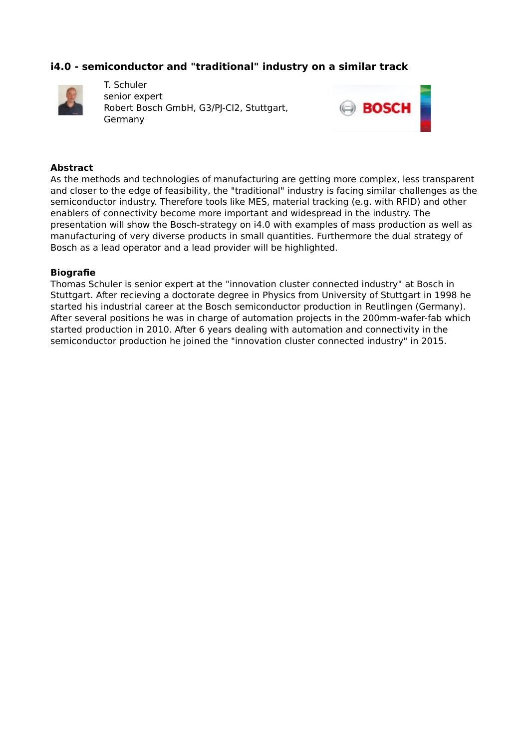# **i4.0 - semiconductor and "traditional" industry on a similar track**



T. Schuler senior expert Robert Bosch GmbH, G3/PJ-CI2, Stuttgart, Germany



#### **Abstract**

As the methods and technologies of manufacturing are getting more complex, less transparent and closer to the edge of feasibility, the "traditional" industry is facing similar challenges as the semiconductor industry. Therefore tools like MES, material tracking (e.g. with RFID) and other enablers of connectivity become more important and widespread in the industry. The presentation will show the Bosch-strategy on i4.0 with examples of mass production as well as manufacturing of very diverse products in small quantities. Furthermore the dual strategy of Bosch as a lead operator and a lead provider will be highlighted.

#### **Biografie**

Thomas Schuler is senior expert at the "innovation cluster connected industry" at Bosch in Stuttgart. After recieving a doctorate degree in Physics from University of Stuttgart in 1998 he started his industrial career at the Bosch semiconductor production in Reutlingen (Germany). After several positions he was in charge of automation projects in the 200mm-wafer-fab which started production in 2010. After 6 years dealing with automation and connectivity in the semiconductor production he joined the "innovation cluster connected industry" in 2015.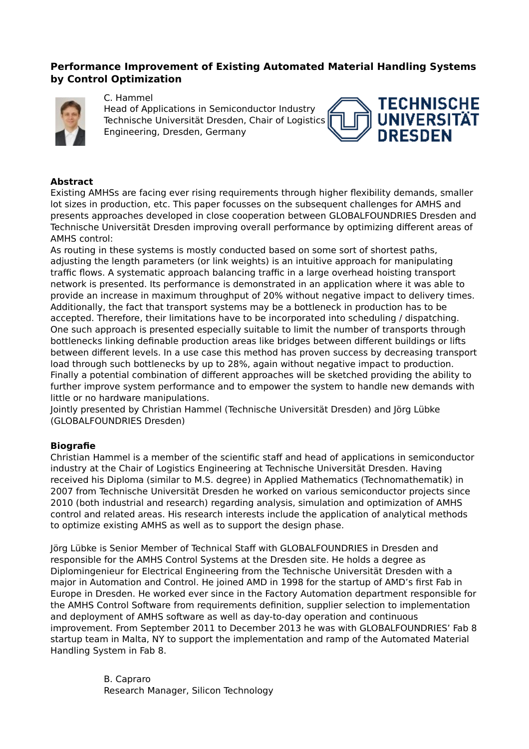# **Performance Improvement of Existing Automated Material Handling Systems by Control Optimization**



#### C. Hammel

Head of Applications in Semiconductor Industry Technische Universität Dresden, Chair of Logistics Engineering, Dresden, Germany



### **Abstract**

Existing AMHSs are facing ever rising requirements through higher flexibility demands, smaller lot sizes in production, etc. This paper focusses on the subsequent challenges for AMHS and presents approaches developed in close cooperation between GLOBALFOUNDRIES Dresden and Technische Universität Dresden improving overall performance by optimizing different areas of AMHS control:

As routing in these systems is mostly conducted based on some sort of shortest paths, adjusting the length parameters (or link weights) is an intuitive approach for manipulating traffic flows. A systematic approach balancing traffic in a large overhead hoisting transport network is presented. Its performance is demonstrated in an application where it was able to provide an increase in maximum throughput of 20% without negative impact to delivery times. Additionally, the fact that transport systems may be a bottleneck in production has to be accepted. Therefore, their limitations have to be incorporated into scheduling / dispatching. One such approach is presented especially suitable to limit the number of transports through bottlenecks linking definable production areas like bridges between different buildings or lifts between different levels. In a use case this method has proven success by decreasing transport load through such bottlenecks by up to 28%, again without negative impact to production. Finally a potential combination of different approaches will be sketched providing the ability to further improve system performance and to empower the system to handle new demands with little or no hardware manipulations.

Jointly presented by Christian Hammel (Technische Universität Dresden) and Jörg Lübke (GLOBALFOUNDRIES Dresden)

### **Biografie**

Christian Hammel is a member of the scientific staff and head of applications in semiconductor industry at the Chair of Logistics Engineering at Technische Universität Dresden. Having received his Diploma (similar to M.S. degree) in Applied Mathematics (Technomathematik) in 2007 from Technische Universität Dresden he worked on various semiconductor projects since 2010 (both industrial and research) regarding analysis, simulation and optimization of AMHS control and related areas. His research interests include the application of analytical methods to optimize existing AMHS as well as to support the design phase.

Jörg Lübke is Senior Member of Technical Staff with GLOBALFOUNDRIES in Dresden and responsible for the AMHS Control Systems at the Dresden site. He holds a degree as Diplomingenieur for Electrical Engineering from the Technische Universität Dresden with a major in Automation and Control. He joined AMD in 1998 for the startup of AMD's first Fab in Europe in Dresden. He worked ever since in the Factory Automation department responsible for the AMHS Control Software from requirements definition, supplier selection to implementation and deployment of AMHS software as well as day-to-day operation and continuous improvement. From September 2011 to December 2013 he was with GLOBALFOUNDRIES' Fab 8 startup team in Malta, NY to support the implementation and ramp of the Automated Material Handling System in Fab 8.

> B. Capraro Research Manager, Silicon Technology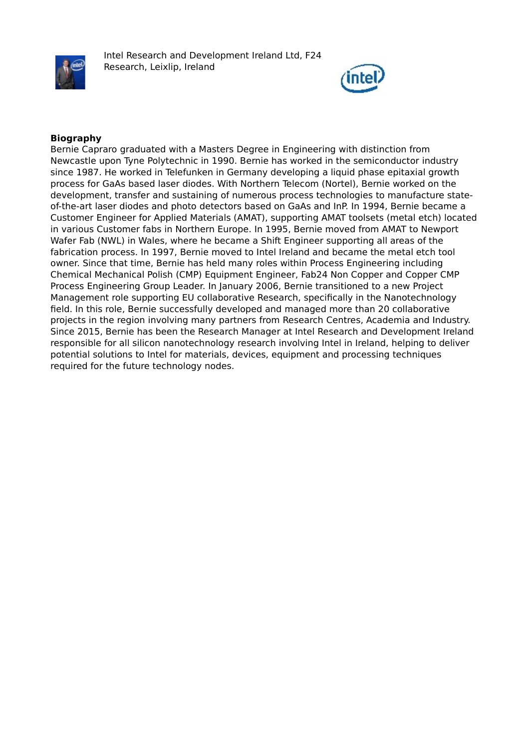

Intel Research and Development Ireland Ltd, F24 Research, Leixlip, Ireland



### **Biography**

Bernie Capraro graduated with a Masters Degree in Engineering with distinction from Newcastle upon Tyne Polytechnic in 1990. Bernie has worked in the semiconductor industry since 1987. He worked in Telefunken in Germany developing a liquid phase epitaxial growth process for GaAs based laser diodes. With Northern Telecom (Nortel), Bernie worked on the development, transfer and sustaining of numerous process technologies to manufacture stateof-the-art laser diodes and photo detectors based on GaAs and InP. In 1994, Bernie became a Customer Engineer for Applied Materials (AMAT), supporting AMAT toolsets (metal etch) located in various Customer fabs in Northern Europe. In 1995, Bernie moved from AMAT to Newport Wafer Fab (NWL) in Wales, where he became a Shift Engineer supporting all areas of the fabrication process. In 1997, Bernie moved to Intel Ireland and became the metal etch tool owner. Since that time, Bernie has held many roles within Process Engineering including Chemical Mechanical Polish (CMP) Equipment Engineer, Fab24 Non Copper and Copper CMP Process Engineering Group Leader. In January 2006, Bernie transitioned to a new Project Management role supporting EU collaborative Research, specifically in the Nanotechnology field. In this role, Bernie successfully developed and managed more than 20 collaborative projects in the region involving many partners from Research Centres, Academia and Industry. Since 2015, Bernie has been the Research Manager at Intel Research and Development Ireland responsible for all silicon nanotechnology research involving Intel in Ireland, helping to deliver potential solutions to Intel for materials, devices, equipment and processing techniques required for the future technology nodes.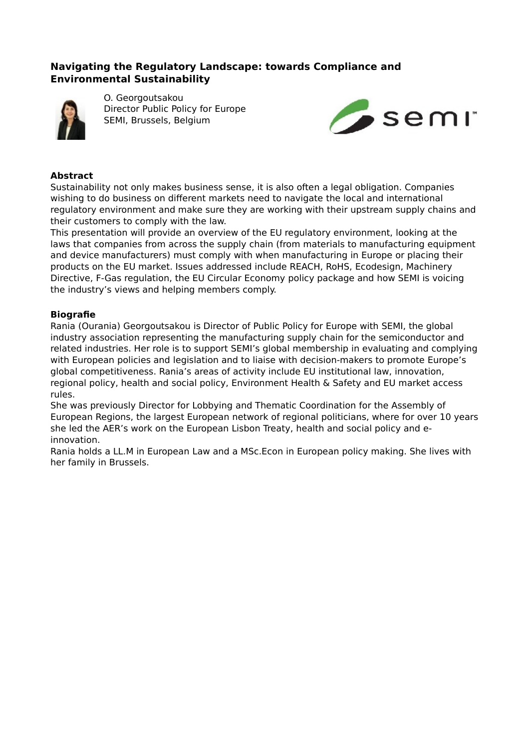# **Navigating the Regulatory Landscape: towards Compliance and Environmental Sustainability**



O. Georgoutsakou Director Public Policy for Europe SEMI, Brussels, Belgium



#### **Abstract**

Sustainability not only makes business sense, it is also often a legal obligation. Companies wishing to do business on different markets need to navigate the local and international regulatory environment and make sure they are working with their upstream supply chains and their customers to comply with the law.

This presentation will provide an overview of the EU regulatory environment, looking at the laws that companies from across the supply chain (from materials to manufacturing equipment and device manufacturers) must comply with when manufacturing in Europe or placing their products on the EU market. Issues addressed include REACH, RoHS, Ecodesign, Machinery Directive, F-Gas regulation, the EU Circular Economy policy package and how SEMI is voicing the industry's views and helping members comply.

### **Biografie**

Rania (Ourania) Georgoutsakou is Director of Public Policy for Europe with SEMI, the global industry association representing the manufacturing supply chain for the semiconductor and related industries. Her role is to support SEMI's global membership in evaluating and complying with European policies and legislation and to liaise with decision-makers to promote Europe's global competitiveness. Rania's areas of activity include EU institutional law, innovation, regional policy, health and social policy, Environment Health & Safety and EU market access rules.

She was previously Director for Lobbying and Thematic Coordination for the Assembly of European Regions, the largest European network of regional politicians, where for over 10 years she led the AER's work on the European Lisbon Treaty, health and social policy and einnovation.

Rania holds a LL.M in European Law and a MSc.Econ in European policy making. She lives with her family in Brussels.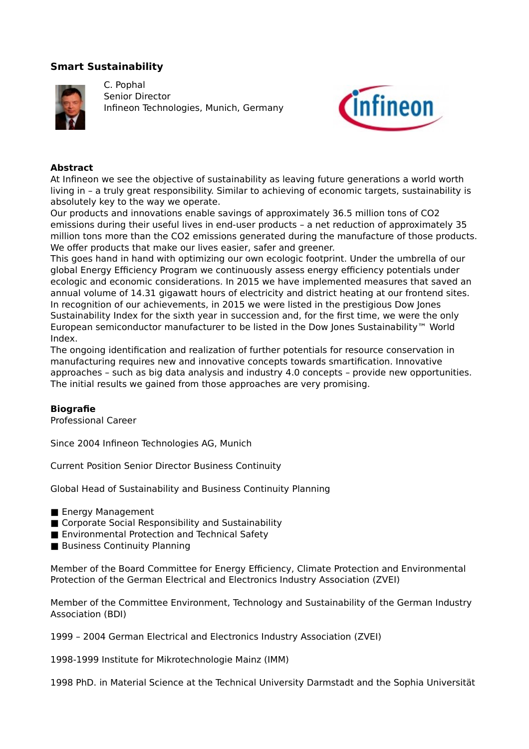# **Smart Sustainability**



C. Pophal Senior Director Infineon Technologies, Munich, Germany



### **Abstract**

At Infineon we see the objective of sustainability as leaving future generations a world worth living in – a truly great responsibility. Similar to achieving of economic targets, sustainability is absolutely key to the way we operate.

Our products and innovations enable savings of approximately 36.5 million tons of CO2 emissions during their useful lives in end-user products – a net reduction of approximately 35 million tons more than the CO2 emissions generated during the manufacture of those products. We offer products that make our lives easier, safer and greener.

This goes hand in hand with optimizing our own ecologic footprint. Under the umbrella of our global Energy Efficiency Program we continuously assess energy efficiency potentials under ecologic and economic considerations. In 2015 we have implemented measures that saved an annual volume of 14.31 gigawatt hours of electricity and district heating at our frontend sites. In recognition of our achievements, in 2015 we were listed in the prestigious Dow Jones Sustainability Index for the sixth year in succession and, for the first time, we were the only European semiconductor manufacturer to be listed in the Dow Jones Sustainability™ World Index.

The ongoing identification and realization of further potentials for resource conservation in manufacturing requires new and innovative concepts towards smartification. Innovative approaches – such as big data analysis and industry 4.0 concepts – provide new opportunities. The initial results we gained from those approaches are very promising.

### **Biografie**

Professional Career

Since 2004 Infineon Technologies AG, Munich

Current Position Senior Director Business Continuity

Global Head of Sustainability and Business Continuity Planning

- Energy Management
- Corporate Social Responsibility and Sustainability
- Environmental Protection and Technical Safety
- Business Continuity Planning

Member of the Board Committee for Energy Efficiency, Climate Protection and Environmental Protection of the German Electrical and Electronics Industry Association (ZVEI)

Member of the Committee Environment, Technology and Sustainability of the German Industry Association (BDI)

1999 – 2004 German Electrical and Electronics Industry Association (ZVEI)

1998-1999 Institute for Mikrotechnologie Mainz (IMM)

1998 PhD. in Material Science at the Technical University Darmstadt and the Sophia Universität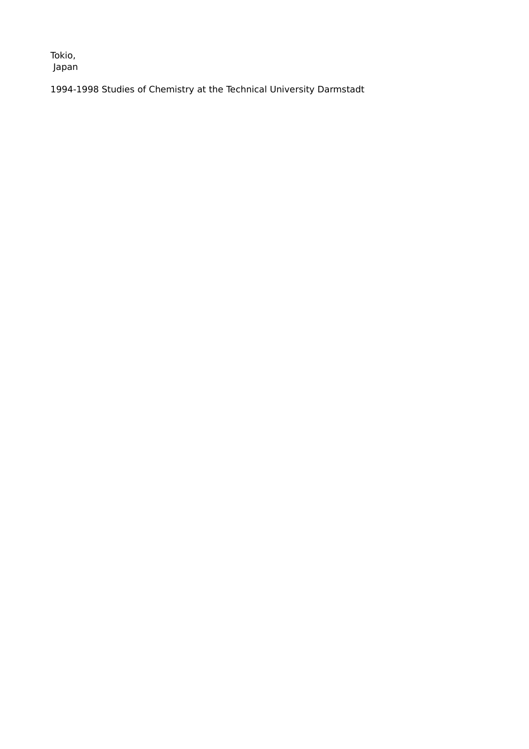Tokio, Japan

1994-1998 Studies of Chemistry at the Technical University Darmstadt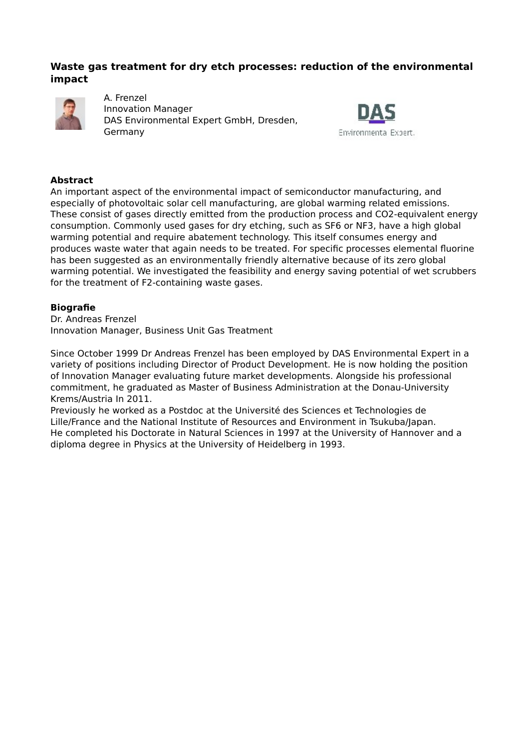### **Waste gas treatment for dry etch processes: reduction of the environmental impact**



A. Frenzel Innovation Manager DAS Environmental Expert GmbH, Dresden, Germany



### **Abstract**

An important aspect of the environmental impact of semiconductor manufacturing, and especially of photovoltaic solar cell manufacturing, are global warming related emissions. These consist of gases directly emitted from the production process and CO2-equivalent energy consumption. Commonly used gases for dry etching, such as SF6 or NF3, have a high global warming potential and require abatement technology. This itself consumes energy and produces waste water that again needs to be treated. For specific processes elemental fluorine has been suggested as an environmentally friendly alternative because of its zero global warming potential. We investigated the feasibility and energy saving potential of wet scrubbers for the treatment of F2-containing waste gases.

### **Biografie**

Dr. Andreas Frenzel Innovation Manager, Business Unit Gas Treatment

Since October 1999 Dr Andreas Frenzel has been employed by DAS Environmental Expert in a variety of positions including Director of Product Development. He is now holding the position of Innovation Manager evaluating future market developments. Alongside his professional commitment, he graduated as Master of Business Administration at the Donau-University Krems/Austria In 2011.

Previously he worked as a Postdoc at the Université des Sciences et Technologies de Lille/France and the National Institute of Resources and Environment in Tsukuba/Japan. He completed his Doctorate in Natural Sciences in 1997 at the University of Hannover and a diploma degree in Physics at the University of Heidelberg in 1993.